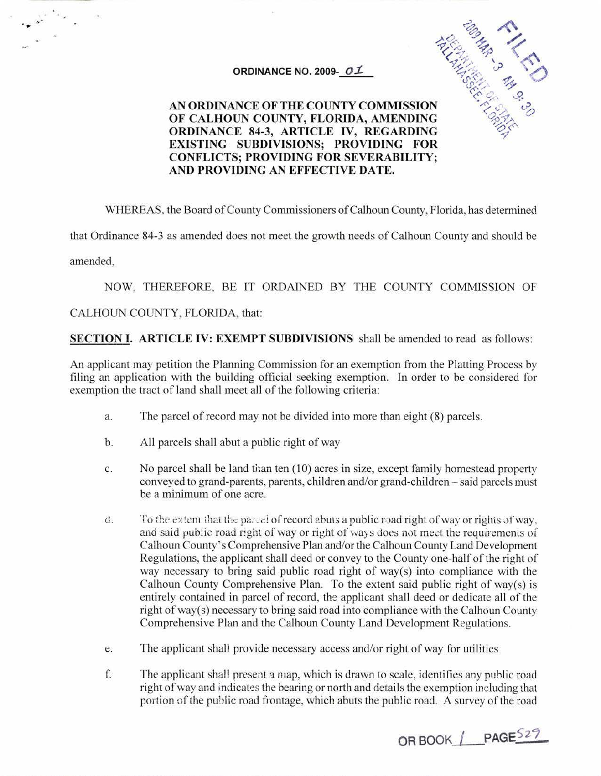## **ORDINANCE NO. 2009-**  $OIL$



# **OF CALHOUN COUNTY, FLORIDA, AMENDING ORDINANCE 84-3, ARTICLE IV, REGARDING EXISTING SUBDIVISIONS; PROVIDING FOR CONFLICTS; PROVIDING FOR SEVERABILITY; AND PROVIDING AN EFFECTIVE DATE.**

WHEREAS. the Board of County Commissioners of Calhoun County, Florida, has determined

that Ordinance 84-3 as amended does not meet the growth needs of Calhoun County and should be

amended,

NOW, THEREFORE, BE IT ORDAINED BY THE COUNTY COMMISSION OF

### CALHOUN COUNTY, FLORIDA, that:

**SECTION I. ARTICLE IV: EXEMPT SUBDIVISIONS** shall be amended to read as follows:

An applicant may petition the Planning Commission for an exemption from the Platting Process by filing an application with the building official seeking exemption. In order to be considered for exemption the tract of land shall meet all of the following criteria:

- a. The parcel of record may not be divided into more than eight (8) parcels.
- b. All parcels shall abut a public right of way
- c. No parcel shall be land than ten (10) acres in size, except family homestead property conveyed to grand-parents. parents, children and/or grand-children - said parcels must be a minimum of one acre.
- d. To the extent that the parcel of record abuts a public road right of way or rights of way. and said public road right of way or right of ways does not meet the requirements of Calhoun County's Comprehensive Plan and/or the Calhoun County Land Development Regulations, the applicant shall deed or convey to the County one-half of the right of way necessary to bring said public road right of way(s) into compliance with the Calhoun County Comprehensive Plan. To the extent said public right of way(s) is entirely contained in parcel of record, the applicant shall deed or dedicate all of the right of way(s) necessary to bring said road into compliance with the Calhoun County Comprehensive Plan and the Calhoun County Land Development Regulations.
- e. The applicant shall provide necessary access and/or right of way for utilities.
- f. The applicant shall present a map, which is drawn to scale, identifies any public road right of way and indicates the bearing or north and details the exemption including that portion of the public road frontage, which abuts the public road. A survey of the road

**OR BOOK I PAGE<sup>521</sup>**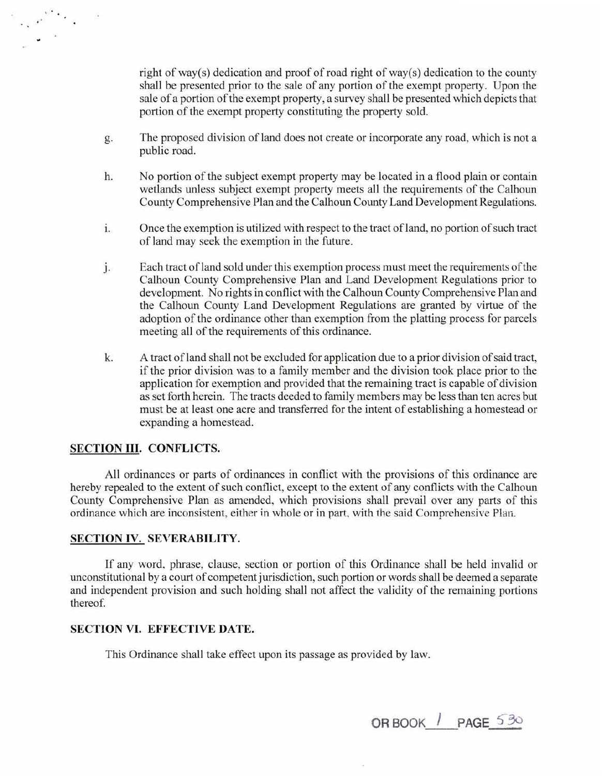right of way(s) dedication and proof of road right of way(s) dedication to the county shall be presented prior to the sale of any portion of the exempt property. Upon the sale of a portion of the exempt property, a survey shall be presented which depicts that portion of the exempt property constituting the property sold.

- g. The proposed division of land does not create or incorporate any road, which is not a public road.
- h. No portion of the subject exempt property may be located in a flood plain or contain wetlands unless subject exempt property meets all the requirements of the Calhoun County Comprehensive Plan and the Calhoun County Land Development Regulations.
- 1. Once the exemption is utilized with respect to the tract of land, no portion of such tract of land may seek the exemption in the future.
- J. Each tract of land sold under this exemption process must meet the requirements of the Calhoun County Comprehensive Plan and Land Development Regulations prior to development. No rights in conflict with the Calhoun County Comprehensive Plan and the Calhoun County Land Development Regulations are granted by virtue of the adoption of the ordinance other than exemption from the platting process for parcels meeting all of the requirements of this ordinance.
- k. A tract of land shall not be excluded for application due to a prior division of said tract, if the prior division was to a family member and the division took place prior to the application for exemption and provided that the remaining tract is capable of division as set forth herein. The tracts deeded to family members may be less than ten acres but must be at least one acre and transferred for the intent of establishing a homestead or expanding a homestead.

#### **SECTION III. CONFLICTS.**

All ordinances or parts of ordinances in conflict with the provisions of this ordinance are hereby repealed to the extent of such conflict, except to the extent of any conflicts with the Calhoun County Comprehensive Plan as amended, which provisions shall prevail over any parts of this ordinance which are inconsistent, either in whole or in part, with the said Comprehensive Plan.

#### **SECTION** IV. **SEVERABILITY.**

If any word, phrase, clause, section or portion of this Ordinance shall be held invalid or unconstitutional by a court of competent jurisdiction, such portion or words shall be deemed a separate and independent provision and such holding shall not affect the validity of the remaining portions thereof.

#### **SECTION VI. EFFECTIVE DATE.**

This Ordinance shall take effect upon its passage as provided by law.

**OR BOOK I PAGE** 5"8o